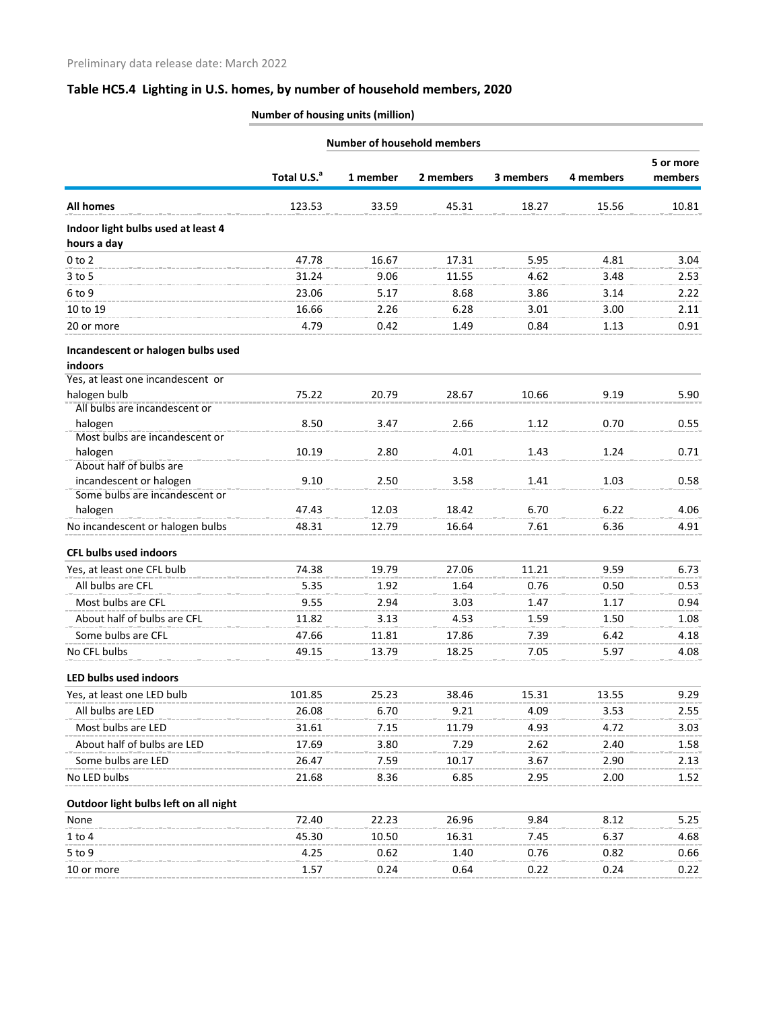# **Table HC5.4 Lighting in U.S. homes, by number of household members, 2020**

## **Number of housing units (million)**

|                                           | <b>Number of household members</b> |          |           |           |           |                      |
|-------------------------------------------|------------------------------------|----------|-----------|-----------|-----------|----------------------|
|                                           |                                    | 1 member | 2 members |           |           | 5 or more<br>members |
|                                           | Total U.S. <sup>a</sup>            |          |           | 3 members | 4 members |                      |
| <b>All homes</b>                          | 123.53                             | 33.59    | 45.31     | 18.27     | 15.56     | 10.81                |
| Indoor light bulbs used at least 4        |                                    |          |           |           |           |                      |
| hours a day                               |                                    |          |           |           |           |                      |
| $0$ to $2$                                | 47.78                              | 16.67    | 17.31     | 5.95      | 4.81      | 3.04                 |
| $3$ to 5                                  | 31.24                              | 9.06     | 11.55     | 4.62      | 3.48      | 2.53                 |
| 6 to 9                                    | 23.06                              | 5.17     | 8.68      | 3.86      | 3.14      | 2.22                 |
| 10 to 19                                  | 16.66                              | 2.26     | 6.28      | 3.01      | 3.00      | 2.11                 |
| 20 or more                                | 4.79                               | 0.42     | 1.49      | 0.84      | 1.13      | 0.91                 |
| Incandescent or halogen bulbs used        |                                    |          |           |           |           |                      |
| indoors                                   |                                    |          |           |           |           |                      |
| Yes, at least one incandescent or         |                                    |          |           |           |           |                      |
| halogen bulb                              | 75.22                              | 20.79    | 28.67     | 10.66     | 9.19      | 5.90                 |
| All bulbs are incandescent or             |                                    |          |           |           |           |                      |
| halogen<br>Most bulbs are incandescent or | 8.50                               | 3.47     | 2.66      | 1.12      | 0.70      | 0.55                 |
| halogen                                   | 10.19                              | 2.80     | 4.01      | 1.43      | 1.24      | 0.71                 |
| About half of bulbs are                   |                                    |          |           |           |           |                      |
| incandescent or halogen                   | 9.10                               | 2.50     | 3.58      | 1.41      | 1.03      | 0.58                 |
| Some bulbs are incandescent or            |                                    |          |           |           |           |                      |
| halogen                                   | 47.43                              | 12.03    | 18.42     | 6.70      | 6.22      | 4.06                 |
| No incandescent or halogen bulbs          | 48.31                              | 12.79    | 16.64     | 7.61      | 6.36      | 4.91                 |
| <b>CFL bulbs used indoors</b>             |                                    |          |           |           |           |                      |
| Yes, at least one CFL bulb                | 74.38                              | 19.79    | 27.06     | 11.21     | 9.59      | 6.73                 |
| All bulbs are CFL                         | 5.35                               | 1.92     | 1.64      | 0.76      | 0.50      | 0.53                 |
| Most bulbs are CFL                        | 9.55                               | 2.94     | 3.03      | 1.47      | 1.17      | 0.94                 |
| About half of bulbs are CFL               | 11.82                              | 3.13     | 4.53      | 1.59      | 1.50      | 1.08                 |
| Some bulbs are CFL                        | 47.66                              | 11.81    | 17.86     | 7.39      | 6.42      | 4.18                 |
| No CFL bulbs                              | 49.15                              | 13.79    | 18.25     | 7.05      | 5.97      | 4.08                 |
| LED bulbs used indoors                    |                                    |          |           |           |           |                      |
| Yes, at least one LED bulb                | 101.85                             | 25.23    | 38.46     | 15.31     | 13.55     | 9.29                 |
| All bulbs are LED                         | 26.08                              | 6.70     | 9.21      | 4.09      | 3.53      | 2.55                 |
| Most bulbs are LED                        | 31.61                              | 7.15     | 11.79     | 4.93      | 4.72      | 3.03                 |
| About half of bulbs are LED               | 17.69                              | 3.80     | 7.29      | 2.62      | 2.40      | 1.58                 |
| Some bulbs are LED                        | 26.47                              | 7.59     | 10.17     | 3.67      | 2.90      | 2.13                 |
| No LED bulbs                              | 21.68                              | 8.36     | 6.85      | 2.95      | 2.00      | 1.52                 |
| Outdoor light bulbs left on all night     |                                    |          |           |           |           |                      |
| None                                      | 72.40                              | 22.23    | 26.96     | 9.84      | 8.12      | 5.25                 |
| $1$ to $4$                                | 45.30                              | 10.50    | 16.31     | 7.45      | 6.37      | 4.68                 |
| 5 to 9                                    | 4.25                               | 0.62     | 1.40      | 0.76      | 0.82      | 0.66                 |
| 10 or more                                | 1.57                               | 0.24     | 0.64      | 0.22      | 0.24      | 0.22                 |
|                                           |                                    |          |           |           |           |                      |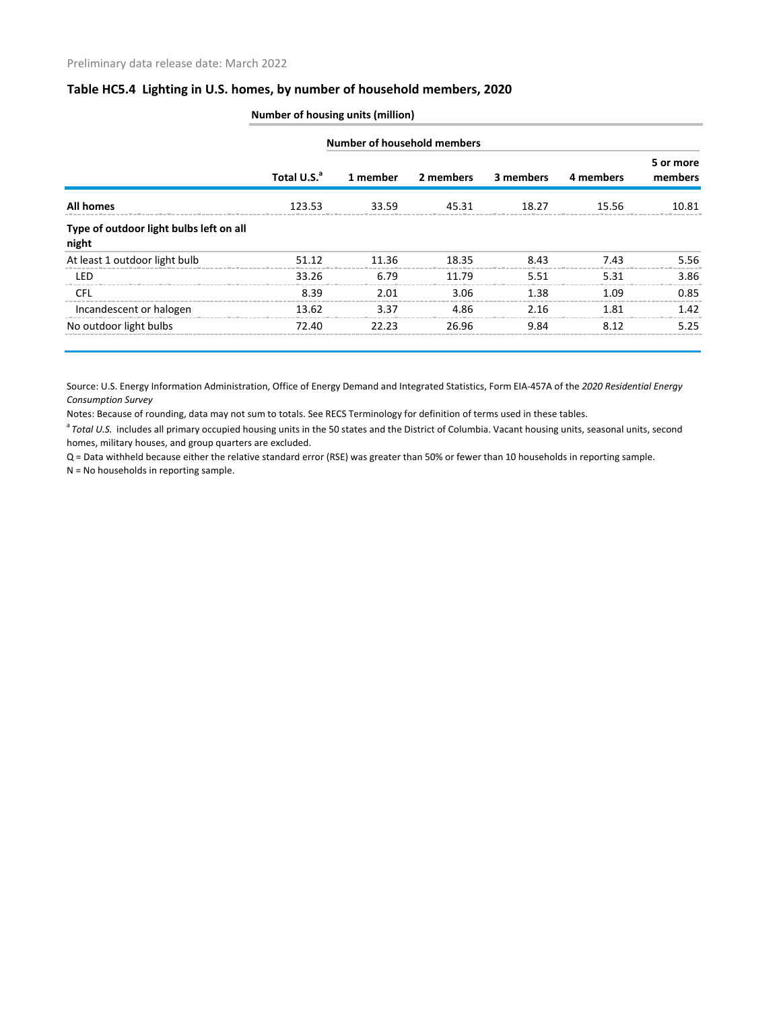### **Table HC5.4 Lighting in U.S. homes, by number of household members, 2020**

|                                                  | <b>Number of household members</b> |          |           |           |           |                      |  |
|--------------------------------------------------|------------------------------------|----------|-----------|-----------|-----------|----------------------|--|
|                                                  | Total U.S. <sup>a</sup>            | 1 member | 2 members | 3 members | 4 members | 5 or more<br>members |  |
| <b>All homes</b>                                 | 123.53                             | 33.59    | 45.31     | 18.27     | 15.56     | 10.81                |  |
| Type of outdoor light bulbs left on all<br>night |                                    |          |           |           |           |                      |  |
| At least 1 outdoor light bulb                    | 51.12                              | 11.36    | 18.35     | 8.43      | 7.43      | 5.56                 |  |
| LED                                              | 33.26                              | 6.79     | 11.79     | 5.51      | 5.31      | 3.86                 |  |
| <b>CFL</b>                                       | 8.39                               | 2.01     | 3.06      | 1.38      | 1 N 9     | 0.85                 |  |
| Incandescent or halogen                          | 13.62                              | 3.37     | 4.86      | 2.16      | 1 81      | 1.42                 |  |
| No outdoor light bulbs                           | 72.40                              | 22 23    | 26.96     | 9.84      | 8 12      | 5.25                 |  |

Source: U.S. Energy Information Administration, Office of Energy Demand and Integrated Statistics, Form EIA-457A of the *2020 Residential Energy Consumption Survey*

Notes: Because of rounding, data may not sum to totals. See RECS Terminology for definition of terms used in these tables.

<sup>a</sup> Total U.S. includes all primary occupied housing units in the 50 states and the District of Columbia. Vacant housing units, seasonal units, second homes, military houses, and group quarters are excluded.

Q = Data withheld because either the relative standard error (RSE) was greater than 50% or fewer than 10 households in reporting sample.

N = No households in reporting sample.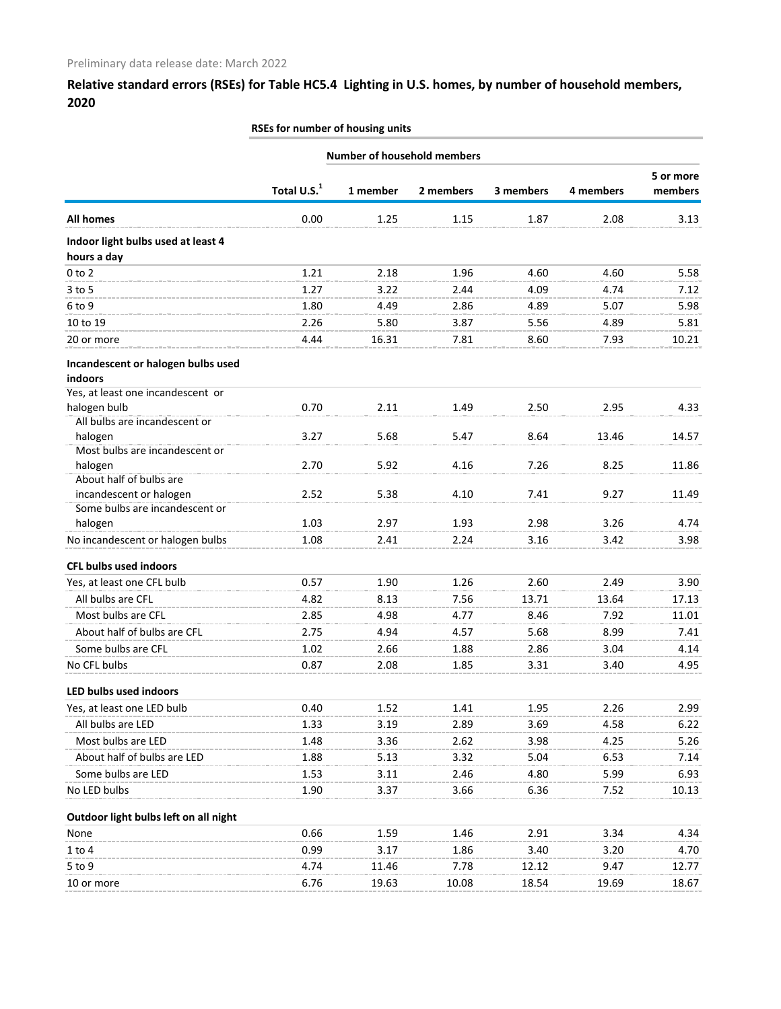## **Relative standard errors (RSEs) for Table HC5.4 Lighting in U.S. homes, by number of household members, 2020**

#### **RSEs for number of housing units**

|                                           | <b>Number of household members</b> |          |           |           |           |                      |
|-------------------------------------------|------------------------------------|----------|-----------|-----------|-----------|----------------------|
|                                           |                                    |          |           |           |           | 5 or more<br>members |
|                                           | Total U.S. <sup>1</sup>            | 1 member | 2 members | 3 members | 4 members |                      |
| <b>All homes</b>                          | 0.00                               | 1.25     | 1.15      | 1.87      | 2.08      | 3.13                 |
| Indoor light bulbs used at least 4        |                                    |          |           |           |           |                      |
| hours a day                               |                                    |          |           |           |           |                      |
| $0$ to $2$                                | 1.21                               | 2.18     | 1.96      | 4.60      | 4.60      | 5.58                 |
| $3$ to $5$                                | 1.27                               | 3.22     | 2.44      | 4.09      | 4.74      | 7.12                 |
| 6 to 9                                    | 1.80                               | 4.49     | 2.86      | 4.89      | 5.07      | 5.98                 |
| 10 to 19                                  | 2.26                               | 5.80     | 3.87      | 5.56      | 4.89      | 5.81                 |
| 20 or more                                | 4.44                               | 16.31    | 7.81      | 8.60      | 7.93      | 10.21                |
| Incandescent or halogen bulbs used        |                                    |          |           |           |           |                      |
| indoors                                   |                                    |          |           |           |           |                      |
| Yes, at least one incandescent or         |                                    |          |           |           |           |                      |
| halogen bulb                              | 0.70                               | 2.11     | 1.49      | 2.50      | 2.95      | 4.33                 |
| All bulbs are incandescent or             |                                    |          |           |           |           |                      |
| halogen<br>Most bulbs are incandescent or | 3.27                               | 5.68     | 5.47      | 8.64      | 13.46     | 14.57                |
| halogen                                   | 2.70                               | 5.92     | 4.16      | 7.26      | 8.25      | 11.86                |
| About half of bulbs are                   |                                    |          |           |           |           |                      |
| incandescent or halogen                   | 2.52                               | 5.38     | 4.10      | 7.41      | 9.27      | 11.49                |
| Some bulbs are incandescent or            |                                    |          |           |           |           |                      |
| halogen                                   | 1.03                               | 2.97     | 1.93      | 2.98      | 3.26      | 4.74                 |
| No incandescent or halogen bulbs          | 1.08                               | 2.41     | 2.24      | 3.16      | 3.42      | 3.98                 |
| <b>CFL bulbs used indoors</b>             |                                    |          |           |           |           |                      |
| Yes, at least one CFL bulb                | 0.57                               | 1.90     | 1.26      | 2.60      | 2.49      | 3.90                 |
| All bulbs are CFL                         | 4.82                               | 8.13     | 7.56      | 13.71     | 13.64     | 17.13                |
| Most bulbs are CFL                        | 2.85                               | 4.98     | 4.77      | 8.46      | 7.92      | 11.01                |
| About half of bulbs are CFL               | 2.75                               | 4.94     | 4.57      | 5.68      | 8.99      | 7.41                 |
| Some bulbs are CFL                        | 1.02                               | 2.66     | 1.88      | 2.86      | 3.04      | 4.14                 |
| No CFL bulbs                              | 0.87                               | 2.08     | 1.85      | 3.31      | 3.40      | 4.95                 |
| LED bulbs used indoors                    |                                    |          |           |           |           |                      |
| Yes, at least one LED bulb                | 0.40                               | 1.52     | 1.41      | 1.95      | 2.26      | 2.99                 |
| All bulbs are LED                         | 1.33                               | 3.19     | 2.89      | 3.69      | 4.58      | 6.22                 |
| Most bulbs are LED                        | 1.48                               | 3.36     | 2.62      | 3.98      | 4.25      | 5.26                 |
| About half of bulbs are LED               | 1.88                               | 5.13     | 3.32      | 5.04      | 6.53      | 7.14                 |
| Some bulbs are LED                        | 1.53                               | 3.11     | 2.46      | 4.80      | 5.99      | 6.93                 |
| No LED bulbs                              | 1.90                               | 3.37     | 3.66      | 6.36      | 7.52      | 10.13                |
| Outdoor light bulbs left on all night     |                                    |          |           |           |           |                      |
| None                                      | 0.66                               | 1.59     | 1.46      | 2.91      | 3.34      | 4.34                 |
| 1 to 4                                    | 0.99                               | 3.17     | 1.86      | 3.40      | 3.20      | 4.70                 |
| 5 to 9                                    | 4.74                               | 11.46    | 7.78      | 12.12     | 9.47      | 12.77                |
| 10 or more                                | 6.76                               | 19.63    | 10.08     | 18.54     | 19.69     | 18.67                |